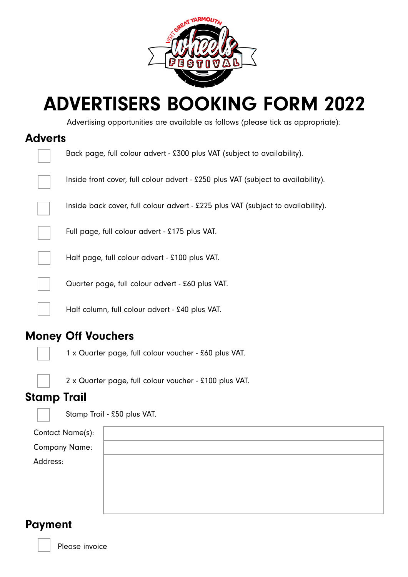

# ADVERTISERS BOOKING FORM 2022

Advertising opportunities are available as follows (please tick as appropriate):

#### Adverts

| Back page, full colour advert - £300 plus VAT (subject to availability).          |
|-----------------------------------------------------------------------------------|
| Inside front cover, full colour advert - £250 plus VAT (subject to availability). |
| Inside back cover, full colour advert - £225 plus VAT (subject to availability).  |
| Full page, full colour advert - £175 plus VAT.                                    |
| Half page, full colour advert - £100 plus VAT.                                    |
| Quarter page, full colour advert - £60 plus VAT.                                  |
| Half column, full colour advert - £40 plus VAT.                                   |

### Money Off Vouchers

1 x Quarter page, full colour voucher - £60 plus VAT.



2 x Quarter page, full colour voucher - £100 plus VAT.

#### Stamp Trail



Stamp Trail - £50 plus VAT.

| Contact Name(s):     |  |
|----------------------|--|
| <b>Company Name:</b> |  |
| Address:             |  |
|                      |  |
|                      |  |
|                      |  |

#### Payment

Please invoice